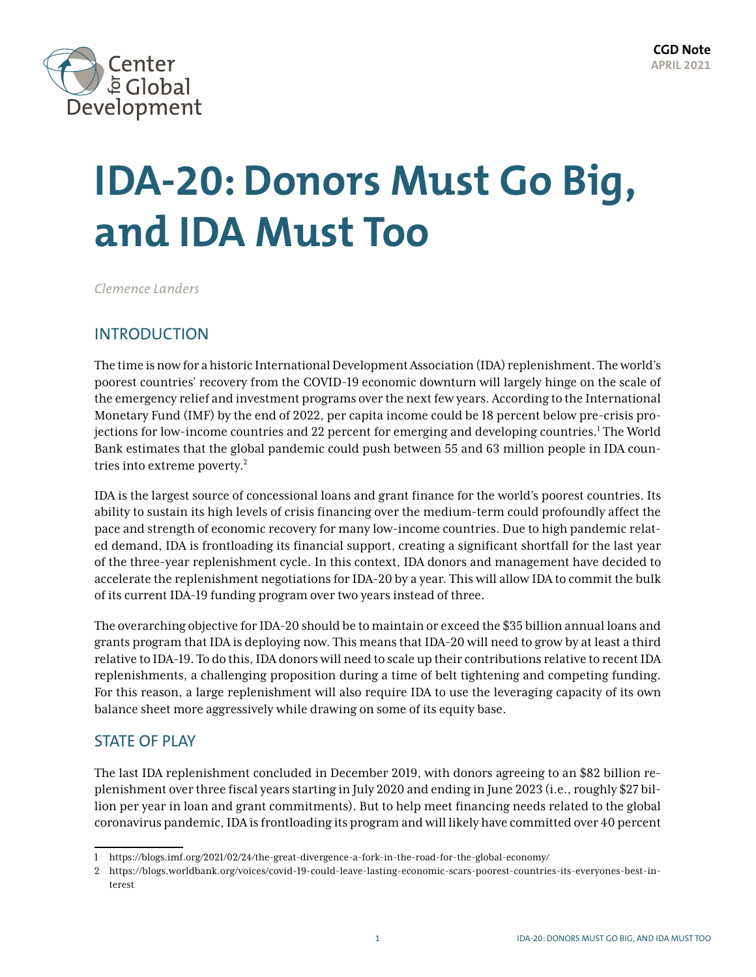

# **IDA-20: Donors Must Go Big, and IDA Must Too**

*Clemence Landers*

# INTRODUCTION

The time is now for a historic International Development Association (IDA) replenishment. The world's poorest countries' recovery from the COVID-19 economic downturn will largely hinge on the scale of the emergency relief and investment programs over the next few years. According to the International Monetary Fund (IMF) by the end of 2022, per capita income could be 18 percent below pre-crisis projections for low-income countries and 22 percent for emerging and developing countries.<sup>1</sup> The World Bank estimates that the global pandemic could push between 55 and 63 million people in IDA countries into extreme poverty.2

IDA is the largest source of concessional loans and grant finance for the world's poorest countries. Its ability to sustain its high levels of crisis financing over the medium-term could profoundly affect the pace and strength of economic recovery for many low-income countries. Due to high pandemic related demand, IDA is frontloading its financial support, creating a significant shortfall for the last year of the three-year replenishment cycle. In this context, IDA donors and management have decided to accelerate the replenishment negotiations for IDA-20 by a year. This will allow IDA to commit the bulk of its current IDA-19 funding program over two years instead of three.

The overarching objective for IDA-20 should be to maintain or exceed the \$35 billion annual loans and grants program that IDA is deploying now. This means that IDA-20 will need to grow by at least a third relative to IDA-19. To do this, IDA donors will need to scale up their contributions relative to recent IDA replenishments, a challenging proposition during a time of belt tightening and competing funding. For this reason, a large replenishment will also require IDA to use the leveraging capacity of its own balance sheet more aggressively while drawing on some of its equity base.

# STATE OF PLAY

The last IDA replenishment concluded in December 2019, with donors agreeing to an \$82 billion replenishment over three fiscal years starting in July 2020 and ending in June 2023 (i.e., roughly \$27 billion per year in loan and grant commitments). But to help meet financing needs related to the global coronavirus pandemic, IDA is frontloading its program and will likely have committed over 40 percent

<sup>1</sup> <https://blogs.imf.org/2021/02/24/the-great-divergence-a-fork-in-the-road-for-the-global-economy/>

<sup>2</sup> [https://blogs.worldbank.org/voices/covid-19-could-leave-lasting-economic-scars-poorest-countries-its-everyones-best-in](https://blogs.worldbank.org/voices/covid-19-could-leave-lasting-economic-scars-poorest-countries-its-everyones-best-interest)[terest](https://blogs.worldbank.org/voices/covid-19-could-leave-lasting-economic-scars-poorest-countries-its-everyones-best-interest)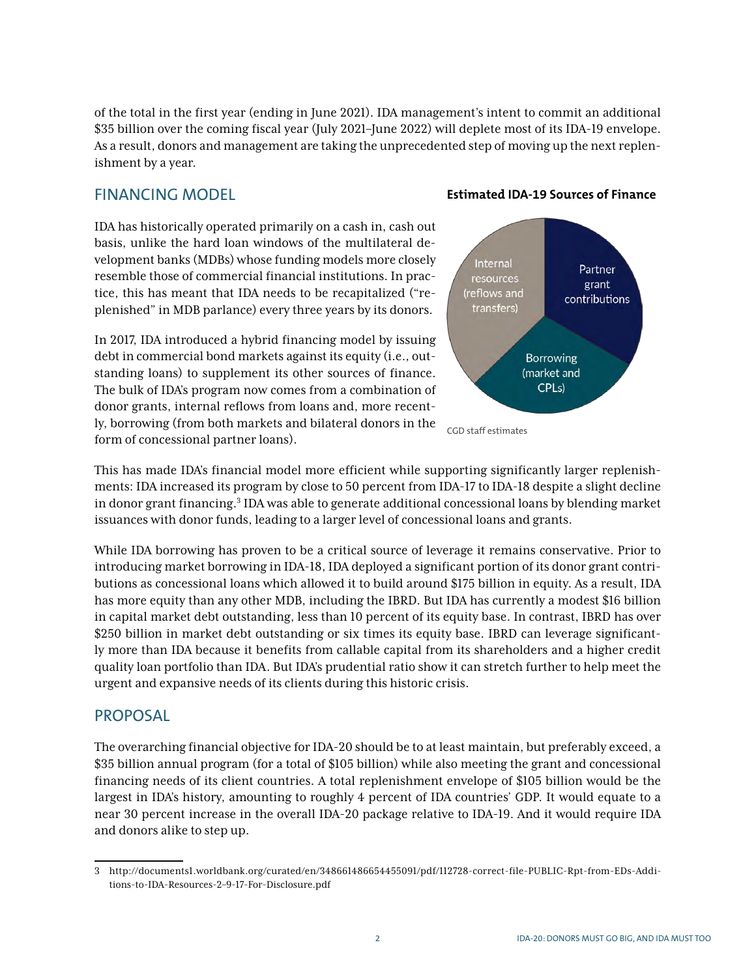of the total in the first year (ending in June 2021). IDA management's intent to commit an additional \$35 billion over the coming fiscal year (July 2021–June 2022) will deplete most of its IDA-19 envelope. As a result, donors and management are taking the unprecedented step of moving up the next replenishment by a year.

## FINANCING MODEL

IDA has historically operated primarily on a cash in, cash out basis, unlike the hard loan windows of the multilateral development banks (MDBs) whose funding models more closely resemble those of commercial financial institutions. In practice, this has meant that IDA needs to be recapitalized ("replenished" in MDB parlance) every three years by its donors.

In 2017, IDA introduced a hybrid financing model by issuing debt in commercial bond markets against its equity (i.e., outstanding loans) to supplement its other sources of finance. The bulk of IDA's program now comes from a combination of donor grants, internal reflows from loans and, more recently, borrowing (from both markets and bilateral donors in the form of concessional partner loans).



**Estimated IDA-19 Sources of Finance** 

This has made IDA's financial model more efficient while supporting significantly larger replenishments: IDA increased its program by close to 50 percent from IDA-17 to IDA-18 despite a slight decline in donor grant financing.<sup>3</sup> IDA was able to generate additional concessional loans by blending market issuances with donor funds, leading to a larger level of concessional loans and grants.

While IDA borrowing has proven to be a critical source of leverage it remains conservative. Prior to introducing market borrowing in IDA-18, IDA deployed a significant portion of its donor grant contributions as concessional loans which allowed it to build around \$175 billion in equity. As a result, IDA has more equity than any other MDB, including the IBRD. But IDA has currently a modest \$16 billion in capital market debt outstanding, less than 10 percent of its equity base. In contrast, IBRD has over \$250 billion in market debt outstanding or six times its equity base. IBRD can leverage significantly more than IDA because it benefits from callable capital from its shareholders and a higher credit quality loan portfolio than IDA. But IDA's prudential ratio show it can stretch further to help meet the urgent and expansive needs of its clients during this historic crisis.

### PROPOSAL

The overarching financial objective for IDA-20 should be to at least maintain, but preferably exceed, a \$35 billion annual program (for a total of \$105 billion) while also meeting the grant and concessional financing needs of its client countries. A total replenishment envelope of \$105 billion would be the largest in IDA's history, amounting to roughly 4 percent of IDA countries' GDP. It would equate to a near 30 percent increase in the overall IDA-20 package relative to IDA-19. And it would require IDA and donors alike to step up.

<sup>3</sup> [http://documents1.worldbank.org/curated/en/348661486654455091/pdf/112728-correct-file-PUBLIC-Rpt-from-EDs-Addi](http://documents1.worldbank.org/curated/en/348661486654455091/pdf/112728-correct-file-PUBLIC-Rpt-from-EDs-Additions-to-IDA-Resources-2-9-17-For-Disclosure.pdf)[tions-to-IDA-Resources-2–9-17-For-Disclosure.pdf](http://documents1.worldbank.org/curated/en/348661486654455091/pdf/112728-correct-file-PUBLIC-Rpt-from-EDs-Additions-to-IDA-Resources-2-9-17-For-Disclosure.pdf)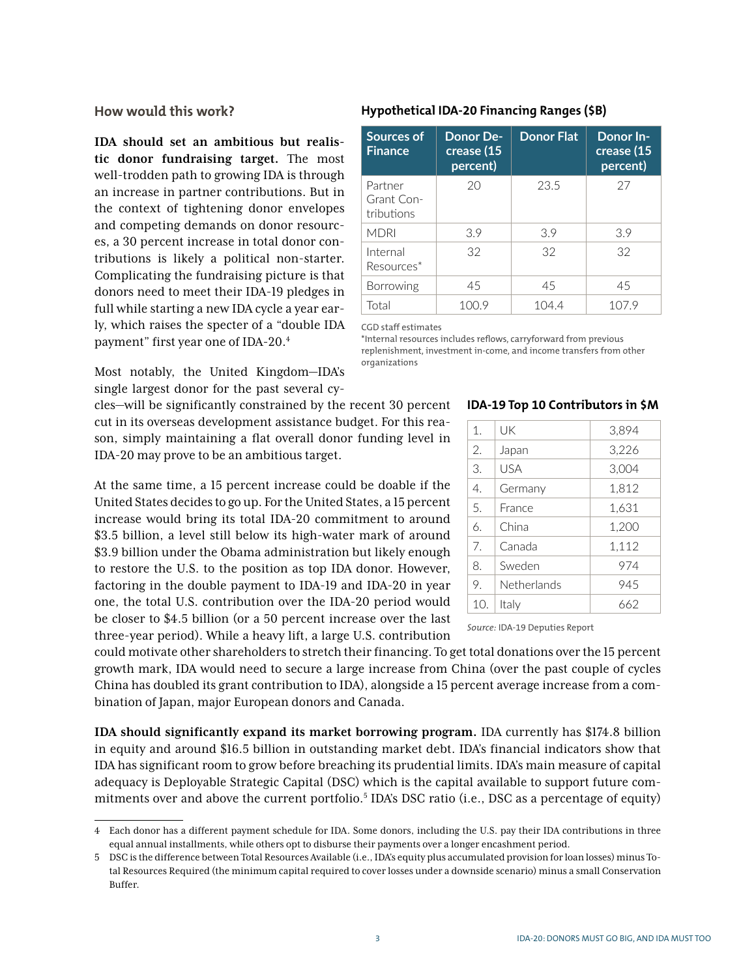#### **How would this work?**

**IDA should set an ambitious but realistic donor fundraising target.** The most well-trodden path to growing IDA is through an increase in partner contributions. But in the context of tightening donor envelopes and competing demands on donor resources, a 30 percent increase in total donor contributions is likely a political non-starter. Complicating the fundraising picture is that donors need to meet their IDA-19 pledges in full while starting a new IDA cycle a year early, which raises the specter of a "double IDA payment" first year one of IDA-20.4

Most notably, the United Kingdom—IDA's single largest donor for the past several cy-

cles—will be significantly constrained by the recent 30 percent cut in its overseas development assistance budget. For this reason, simply maintaining a flat overall donor funding level in IDA-20 may prove to be an ambitious target.

At the same time, a 15 percent increase could be doable if the United States decides to go up. For the United States, a 15 percent increase would bring its total IDA-20 commitment to around \$3.5 billion, a level still below its high-water mark of around \$3.9 billion under the Obama administration but likely enough to restore the U.S. to the position as top IDA donor. However, factoring in the double payment to IDA-19 and IDA-20 in year one, the total U.S. contribution over the IDA-20 period would be closer to \$4.5 billion (or a 50 percent increase over the last three-year period). While a heavy lift, a large U.S. contribution

could motivate other shareholders to stretch their financing. To get total donations over the 15 percent growth mark, IDA would need to secure a large increase from China (over the past couple of cycles China has doubled its grant contribution to IDA), alongside a 15 percent average increase from a combination of Japan, major European donors and Canada.

**IDA should significantly expand its market borrowing program.** IDA currently has \$174.8 billion in equity and around \$16.5 billion in outstanding market debt. IDA's financial indicators show that IDA has significant room to grow before breaching its prudential limits. IDA's main measure of capital adequacy is Deployable Strategic Capital (DSC) which is the capital available to support future commitments over and above the current portfolio.<sup>5</sup> IDA's DSC ratio (i.e., DSC as a percentage of equity)

| Sources of<br><b>Finance</b>        | Donor De-<br>crease (15<br>percent) | <b>Donor Flat</b> | Donor In-<br>$\overline{\text{crease } (15)}$<br>percent) |
|-------------------------------------|-------------------------------------|-------------------|-----------------------------------------------------------|
| Partner<br>Grant Con-<br>tributions | 20                                  | 23.5              | 27                                                        |
| <b>MDRI</b>                         | 3.9                                 | 3.9               | 3.9                                                       |
| Internal<br>Resources*              | 32                                  | 32                | 32                                                        |
| <b>Borrowing</b>                    | 45                                  | 45                | 45                                                        |
|                                     |                                     |                   |                                                           |

#### **Hypothetical IDA-20 Financing Ranges (\$B)**

CGD staff estimates

\*Internal resources includes reflows, carryforward from previous replenishment, investment in-come, and income transfers from other organizations

Total 100.9 104.4 107.9

#### **IDA-19 Top 10 Contributors in \$M**

| 1.  | UK          | 3,894 |
|-----|-------------|-------|
| 2.  | Japan       | 3,226 |
| 3.  | USA         | 3,004 |
| 4.  | Germany     | 1,812 |
| 5.  | France      | 1,631 |
| 6.  | China       | 1,200 |
| 7.  | Canada      | 1,112 |
| 8.  | Sweden      | 974   |
| 9.  | Netherlands | 945   |
| 10. | Italy       | 662   |

*Source:* IDA-19 Deputies Report

<sup>4</sup> Each donor has a different payment schedule for IDA. Some donors, including the U.S. pay their IDA contributions in three equal annual installments, while others opt to disburse their payments over a longer encashment period.

<sup>5</sup> DSC is the difference between Total Resources Available (i.e., IDA's equity plus accumulated provision for loan losses) minus Total Resources Required (the minimum capital required to cover losses under a downside scenario) minus a small Conservation Buffer.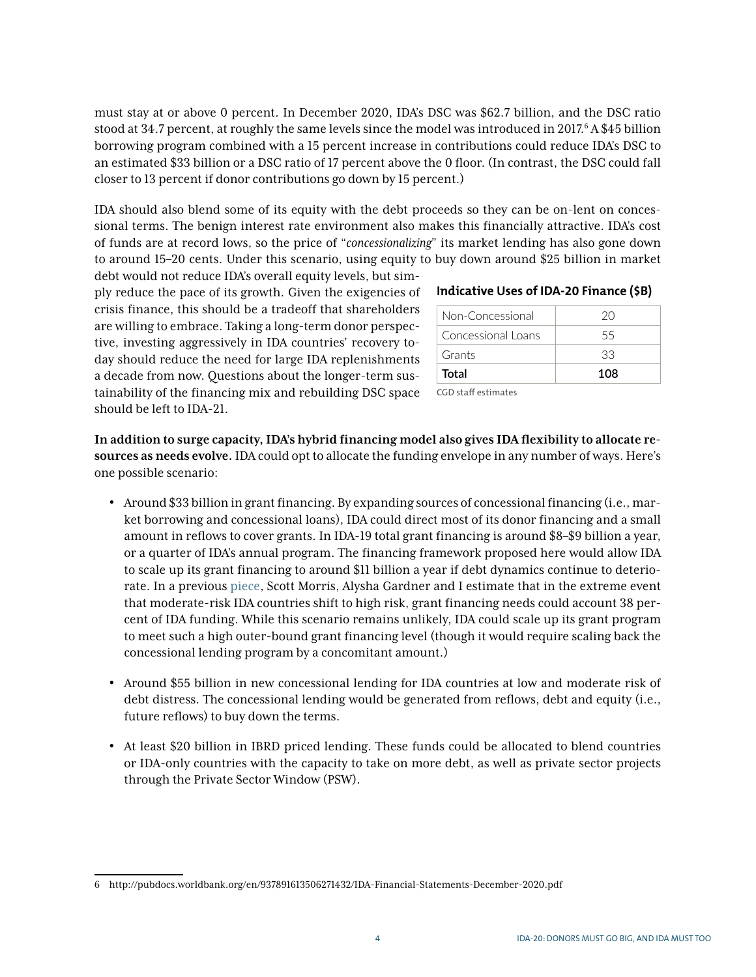must stay at or above 0 percent. In December 2020, IDA's DSC was \$62.7 billion, and the DSC ratio stood at 34.7 percent, at roughly the same levels since the model was introduced in 2017. $^6$  A \$45 billion borrowing program combined with a 15 percent increase in contributions could reduce IDA's DSC to an estimated \$33 billion or a DSC ratio of 17 percent above the 0 floor. (In contrast, the DSC could fall closer to 13 percent if donor contributions go down by 15 percent.)

IDA should also blend some of its equity with the debt proceeds so they can be on-lent on concessional terms. The benign interest rate environment also makes this financially attractive. IDA's cost of funds are at record lows, so the price of "*concessionalizing*" its market lending has also gone down to around 15–20 cents. Under this scenario, using equity to buy down around \$25 billion in market

debt would not reduce IDA's overall equity levels, but simply reduce the pace of its growth. Given the exigencies of crisis finance, this should be a tradeoff that shareholders are willing to embrace. Taking a long-term donor perspective, investing aggressively in IDA countries' recovery today should reduce the need for large IDA replenishments a decade from now. Questions about the longer-term sustainability of the financing mix and rebuilding DSC space should be left to IDA-21.

#### **Indicative Uses of IDA-20 Finance (\$B)**

| Non-Concessional   | 20  |
|--------------------|-----|
| Concessional Loans | 55  |
| Grants             | 33  |
| Total              | 108 |

CGD staff estimates

**In addition to surge capacity, IDA's hybrid financing model also gives IDA flexibility to allocate resources as needs evolve.** IDA could opt to allocate the funding envelope in any number of ways. Here's one possible scenario:

- Around \$33 billion in grant financing. By expanding sources of concessional financing (i.e., market borrowing and concessional loans), IDA could direct most of its donor financing and a small amount in reflows to cover grants. In IDA-19 total grant financing is around \$8–\$9 billion a year, or a quarter of IDA's annual program. The financing framework proposed here would allow IDA to scale up its grant financing to around \$11 billion a year if debt dynamics continue to deteriorate. In a previous [piece,](https://www.cgdev.org/blog/more-world-bank-borrowers-will-need-grants-not-loans-result-more-world-bank-donors-will-need) Scott Morris, Alysha Gardner and I estimate that in the extreme event that moderate-risk IDA countries shift to high risk, grant financing needs could account 38 percent of IDA funding. While this scenario remains unlikely, IDA could scale up its grant program to meet such a high outer-bound grant financing level (though it would require scaling back the concessional lending program by a concomitant amount.)
- Around \$55 billion in new concessional lending for IDA countries at low and moderate risk of debt distress. The concessional lending would be generated from reflows, debt and equity (i.e., future reflows) to buy down the terms.
- At least \$20 billion in IBRD priced lending. These funds could be allocated to blend countries or IDA-only countries with the capacity to take on more debt, as well as private sector projects through the Private Sector Window (PSW).

<sup>6</sup> <http://pubdocs.worldbank.org/en/937891613506271432/IDA-Financial-Statements-December-2020.pdf>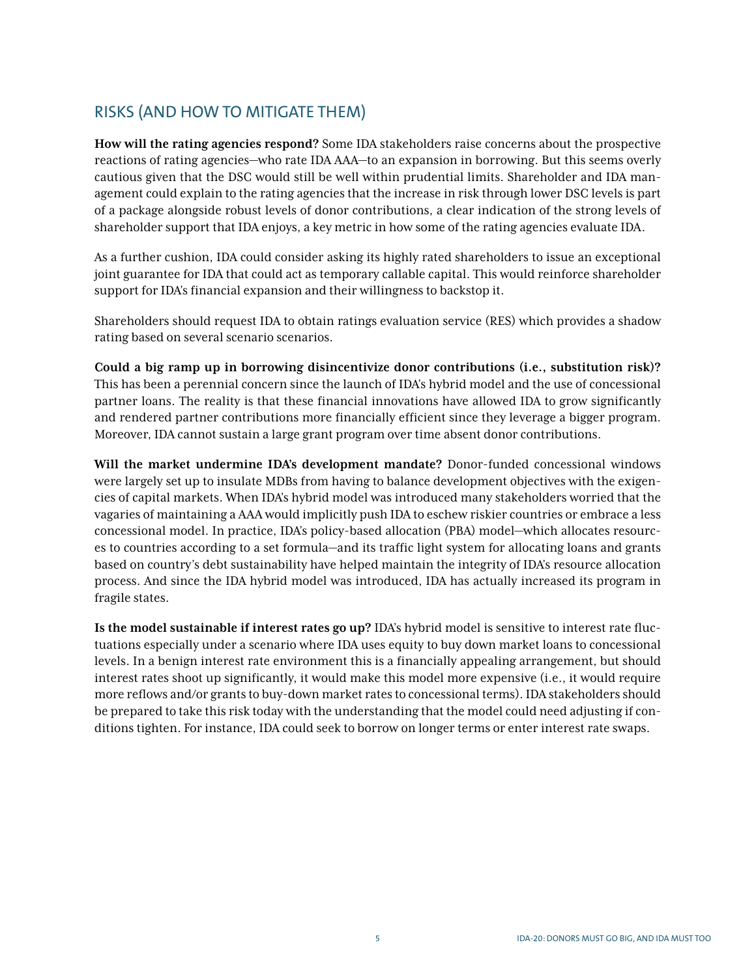# RISKS (AND HOW TO MITIGATE THEM)

**How will the rating agencies respond?** Some IDA stakeholders raise concerns about the prospective reactions of rating agencies—who rate IDA AAA—to an expansion in borrowing. But this seems overly cautious given that the DSC would still be well within prudential limits. Shareholder and IDA management could explain to the rating agencies that the increase in risk through lower DSC levels is part of a package alongside robust levels of donor contributions, a clear indication of the strong levels of shareholder support that IDA enjoys, a key metric in how some of the rating agencies evaluate IDA.

As a further cushion, IDA could consider asking its highly rated shareholders to issue an exceptional joint guarantee for IDA that could act as temporary callable capital. This would reinforce shareholder support for IDA's financial expansion and their willingness to backstop it.

Shareholders should request IDA to obtain ratings evaluation service (RES) which provides a shadow rating based on several scenario scenarios.

**Could a big ramp up in borrowing disincentivize donor contributions (i.e., substitution risk)?** This has been a perennial concern since the launch of IDA's hybrid model and the use of concessional partner loans. The reality is that these financial innovations have allowed IDA to grow significantly and rendered partner contributions more financially efficient since they leverage a bigger program. Moreover, IDA cannot sustain a large grant program over time absent donor contributions.

**Will the market undermine IDA's development mandate?** Donor-funded concessional windows were largely set up to insulate MDBs from having to balance development objectives with the exigencies of capital markets. When IDA's hybrid model was introduced many stakeholders worried that the vagaries of maintaining a AAA would implicitly push IDA to eschew riskier countries or embrace a less concessional model. In practice, IDA's policy-based allocation (PBA) model—which allocates resources to countries according to a set formula—and its traffic light system for allocating loans and grants based on country's debt sustainability have helped maintain the integrity of IDA's resource allocation process. And since the IDA hybrid model was introduced, IDA has actually increased its program in fragile states.

**Is the model sustainable if interest rates go up?** IDA's hybrid model is sensitive to interest rate fluctuations especially under a scenario where IDA uses equity to buy down market loans to concessional levels. In a benign interest rate environment this is a financially appealing arrangement, but should interest rates shoot up significantly, it would make this model more expensive (i.e., it would require more reflows and/or grants to buy-down market rates to concessional terms). IDA stakeholders should be prepared to take this risk today with the understanding that the model could need adjusting if conditions tighten. For instance, IDA could seek to borrow on longer terms or enter interest rate swaps.